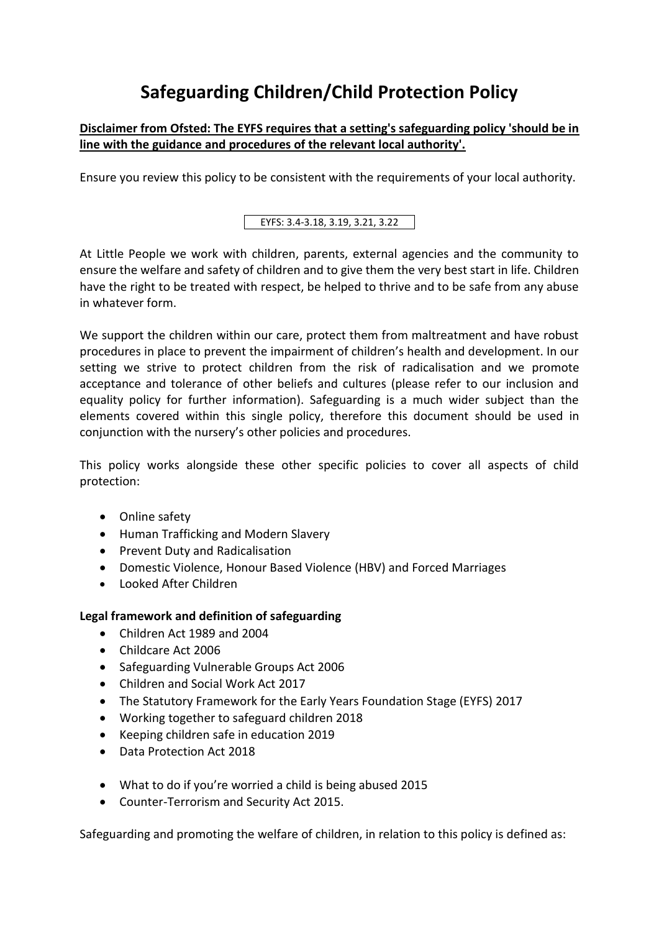# **Safeguarding Children/Child Protection Policy**

# **Disclaimer from Ofsted: The EYFS requires that a setting's safeguarding policy 'should be in line with the guidance and procedures of the relevant local authority'.**

Ensure you review this policy to be consistent with the requirements of your local authority.

EYFS: 3.4-3.18, 3.19, 3.21, 3.22

At Little People we work with children, parents, external agencies and the community to ensure the welfare and safety of children and to give them the very best start in life. Children have the right to be treated with respect, be helped to thrive and to be safe from any abuse in whatever form.

We support the children within our care, protect them from maltreatment and have robust procedures in place to prevent the impairment of children's health and development. In our setting we strive to protect children from the risk of radicalisation and we promote acceptance and tolerance of other beliefs and cultures (please refer to our inclusion and equality policy for further information). Safeguarding is a much wider subject than the elements covered within this single policy, therefore this document should be used in conjunction with the nursery's other policies and procedures.

This policy works alongside these other specific policies to cover all aspects of child protection:

- Online safety
- Human Trafficking and Modern Slavery
- Prevent Duty and Radicalisation
- Domestic Violence, Honour Based Violence (HBV) and Forced Marriages
- Looked After Children

## **Legal framework and definition of safeguarding**

- Children Act 1989 and 2004
- Childcare Act 2006
- Safeguarding Vulnerable Groups Act 2006
- Children and Social Work Act 2017
- The Statutory Framework for the Early Years Foundation Stage (EYFS) 2017
- Working together to safeguard children 2018
- Keeping children safe in education 2019
- Data Protection Act 2018
- What to do if you're worried a child is being abused 2015
- Counter-Terrorism and Security Act 2015.

Safeguarding and promoting the welfare of children, in relation to this policy is defined as: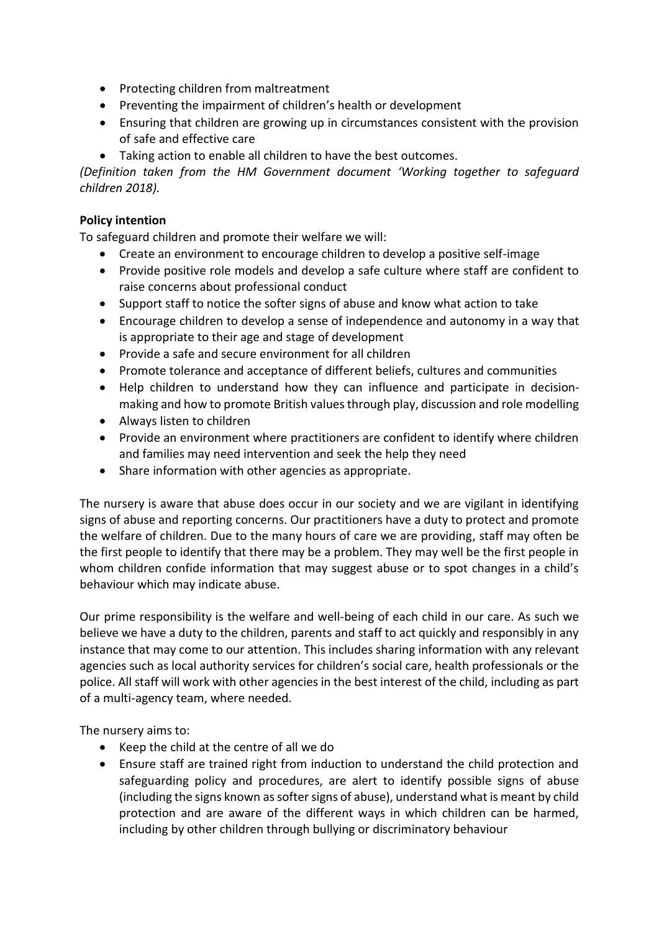- Protecting children from maltreatment
- Preventing the impairment of children's health or development
- Ensuring that children are growing up in circumstances consistent with the provision of safe and effective care
- Taking action to enable all children to have the best outcomes.

*(Definition taken from the HM Government document 'Working together to safeguard children 2018).*

## **Policy intention**

To safeguard children and promote their welfare we will:

- Create an environment to encourage children to develop a positive self-image
- Provide positive role models and develop a safe culture where staff are confident to raise concerns about professional conduct
- Support staff to notice the softer signs of abuse and know what action to take
- Encourage children to develop a sense of independence and autonomy in a way that is appropriate to their age and stage of development
- Provide a safe and secure environment for all children
- Promote tolerance and acceptance of different beliefs, cultures and communities
- Help children to understand how they can influence and participate in decisionmaking and how to promote British values through play, discussion and role modelling
- Always listen to children
- Provide an environment where practitioners are confident to identify where children and families may need intervention and seek the help they need
- Share information with other agencies as appropriate.

The nursery is aware that abuse does occur in our society and we are vigilant in identifying signs of abuse and reporting concerns. Our practitioners have a duty to protect and promote the welfare of children. Due to the many hours of care we are providing, staff may often be the first people to identify that there may be a problem. They may well be the first people in whom children confide information that may suggest abuse or to spot changes in a child's behaviour which may indicate abuse.

Our prime responsibility is the welfare and well-being of each child in our care. As such we believe we have a duty to the children, parents and staff to act quickly and responsibly in any instance that may come to our attention. This includes sharing information with any relevant agencies such as local authority services for children's social care, health professionals or the police. All staff will work with other agencies in the best interest of the child, including as part of a multi-agency team, where needed.

The nursery aims to:

- Keep the child at the centre of all we do
- Ensure staff are trained right from induction to understand the child protection and safeguarding policy and procedures, are alert to identify possible signs of abuse (including the signs known as softer signs of abuse), understand what is meant by child protection and are aware of the different ways in which children can be harmed, including by other children through bullying or discriminatory behaviour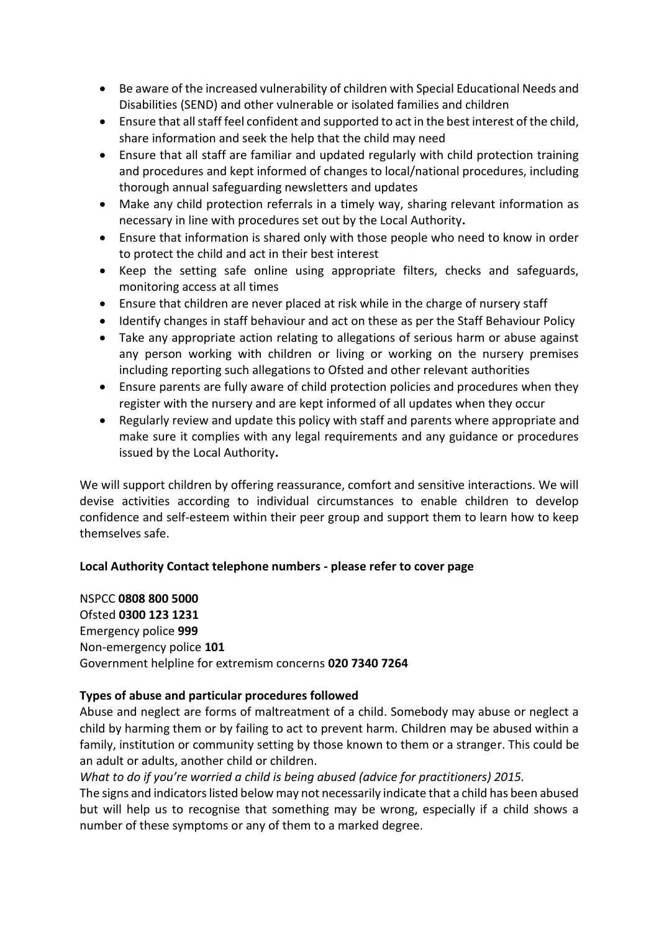- Be aware of the increased vulnerability of children with Special Educational Needs and Disabilities (SEND) and other vulnerable or isolated families and children
- Ensure that all staff feel confident and supported to act in the best interest of the child, share information and seek the help that the child may need
- Ensure that all staff are familiar and updated regularly with child protection training and procedures and kept informed of changes to local/national procedures, including thorough annual safeguarding newsletters and updates
- Make any child protection referrals in a timely way, sharing relevant information as necessary in line with procedures set out by the Local Authority**.**
- Ensure that information is shared only with those people who need to know in order to protect the child and act in their best interest
- Keep the setting safe online using appropriate filters, checks and safeguards, monitoring access at all times
- Ensure that children are never placed at risk while in the charge of nursery staff
- Identify changes in staff behaviour and act on these as per the Staff Behaviour Policy
- Take any appropriate action relating to allegations of serious harm or abuse against any person working with children or living or working on the nursery premises including reporting such allegations to Ofsted and other relevant authorities
- Ensure parents are fully aware of child protection policies and procedures when they register with the nursery and are kept informed of all updates when they occur
- Regularly review and update this policy with staff and parents where appropriate and make sure it complies with any legal requirements and any guidance or procedures issued by the Local Authority**.**

We will support children by offering reassurance, comfort and sensitive interactions. We will devise activities according to individual circumstances to enable children to develop confidence and self-esteem within their peer group and support them to learn how to keep themselves safe.

## **Local Authority Contact telephone numbers - please refer to cover page**

NSPCC **0808 800 5000** Ofsted **0300 123 1231** Emergency police **999** Non-emergency police **101**  Government helpline for extremism concerns **020 7340 7264**

## **Types of abuse and particular procedures followed**

Abuse and neglect are forms of maltreatment of a child. Somebody may abuse or neglect a child by harming them or by failing to act to prevent harm. Children may be abused within a family, institution or community setting by those known to them or a stranger. This could be an adult or adults, another child or children.

*What to do if you're worried a child is being abused (advice for practitioners) 2015.*

The signs and indicators listed below may not necessarily indicate that a child has been abused but will help us to recognise that something may be wrong, especially if a child shows a number of these symptoms or any of them to a marked degree.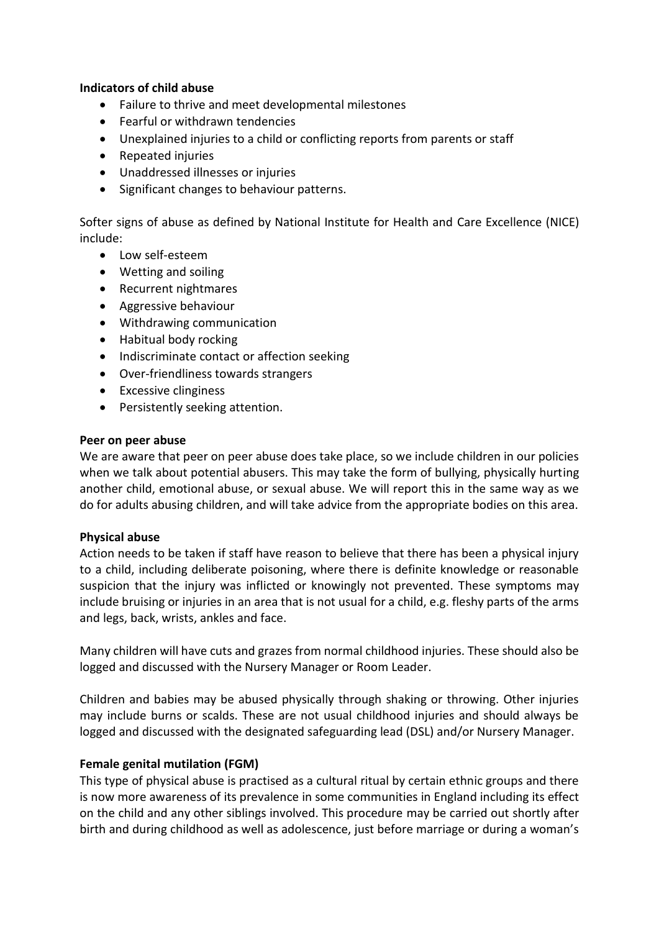#### **Indicators of child abuse**

- Failure to thrive and meet developmental milestones
- Fearful or withdrawn tendencies
- Unexplained injuries to a child or conflicting reports from parents or staff
- Repeated injuries
- Unaddressed illnesses or injuries
- Significant changes to behaviour patterns.

Softer signs of abuse as defined by National Institute for Health and Care Excellence (NICE) include:

- Low self-esteem
- Wetting and soiling
- Recurrent nightmares
- Aggressive behaviour
- Withdrawing communication
- Habitual body rocking
- Indiscriminate contact or affection seeking
- Over-friendliness towards strangers
- Excessive clinginess
- Persistently seeking attention.

#### **Peer on peer abuse**

We are aware that peer on peer abuse does take place, so we include children in our policies when we talk about potential abusers. This may take the form of bullying, physically hurting another child, emotional abuse, or sexual abuse. We will report this in the same way as we do for adults abusing children, and will take advice from the appropriate bodies on this area.

#### **Physical abuse**

Action needs to be taken if staff have reason to believe that there has been a physical injury to a child, including deliberate poisoning, where there is definite knowledge or reasonable suspicion that the injury was inflicted or knowingly not prevented. These symptoms may include bruising or injuries in an area that is not usual for a child, e.g. fleshy parts of the arms and legs, back, wrists, ankles and face.

Many children will have cuts and grazes from normal childhood injuries. These should also be logged and discussed with the Nursery Manager or Room Leader.

Children and babies may be abused physically through shaking or throwing. Other injuries may include burns or scalds. These are not usual childhood injuries and should always be logged and discussed with the designated safeguarding lead (DSL) and/or Nursery Manager.

#### **Female genital mutilation (FGM)**

This type of physical abuse is practised as a cultural ritual by certain ethnic groups and there is now more awareness of its prevalence in some communities in England including its effect on the child and any other siblings involved. This procedure may be carried out shortly after birth and during childhood as well as adolescence, just before marriage or during a woman's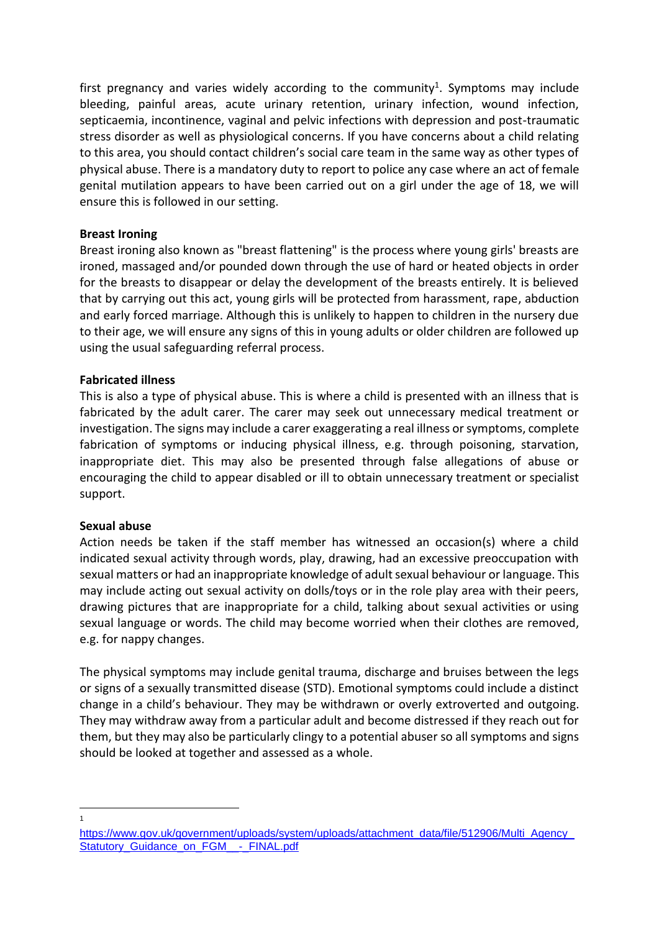first pregnancy and varies widely according to the community<sup>1</sup>. Symptoms may include bleeding, painful areas, acute urinary retention, urinary infection, wound infection, septicaemia, incontinence, vaginal and pelvic infections with depression and post-traumatic stress disorder as well as physiological concerns. If you have concerns about a child relating to this area, you should contact children's social care team in the same way as other types of physical abuse. There is a mandatory duty to report to police any case where an act of female genital mutilation appears to have been carried out on a girl under the age of 18, we will ensure this is followed in our setting.

#### **Breast Ironing**

Breast ironing also known as "breast flattening" is the process where young girls' breasts are ironed, massaged and/or pounded down through the use of hard or heated objects in order for the breasts to disappear or delay the development of the breasts entirely. It is believed that by carrying out this act, young girls will be protected from harassment, rape, abduction and early forced marriage. Although this is unlikely to happen to children in the nursery due to their age, we will ensure any signs of this in young adults or older children are followed up using the usual safeguarding referral process.

#### **Fabricated illness**

This is also a type of physical abuse. This is where a child is presented with an illness that is fabricated by the adult carer. The carer may seek out unnecessary medical treatment or investigation. The signs may include a carer exaggerating a real illness or symptoms, complete fabrication of symptoms or inducing physical illness, e.g. through poisoning, starvation, inappropriate diet. This may also be presented through false allegations of abuse or encouraging the child to appear disabled or ill to obtain unnecessary treatment or specialist support.

#### **Sexual abuse**

Action needs be taken if the staff member has witnessed an occasion(s) where a child indicated sexual activity through words, play, drawing, had an excessive preoccupation with sexual matters or had an inappropriate knowledge of adult sexual behaviour or language. This may include acting out sexual activity on dolls/toys or in the role play area with their peers, drawing pictures that are inappropriate for a child, talking about sexual activities or using sexual language or words. The child may become worried when their clothes are removed, e.g. for nappy changes.

The physical symptoms may include genital trauma, discharge and bruises between the legs or signs of a sexually transmitted disease (STD). Emotional symptoms could include a distinct change in a child's behaviour. They may be withdrawn or overly extroverted and outgoing. They may withdraw away from a particular adult and become distressed if they reach out for them, but they may also be particularly clingy to a potential abuser so all symptoms and signs should be looked at together and assessed as a whole.

1

https://www.gov.uk/government/uploads/system/uploads/attachment\_data/file/512906/Multi\_Agency [Statutory\\_Guidance\\_on\\_FGM\\_\\_-\\_FINAL.pdf](https://www.gov.uk/government/uploads/system/uploads/attachment_data/file/512906/Multi_Agency_Statutory_Guidance_on_FGM__-_FINAL.pdf)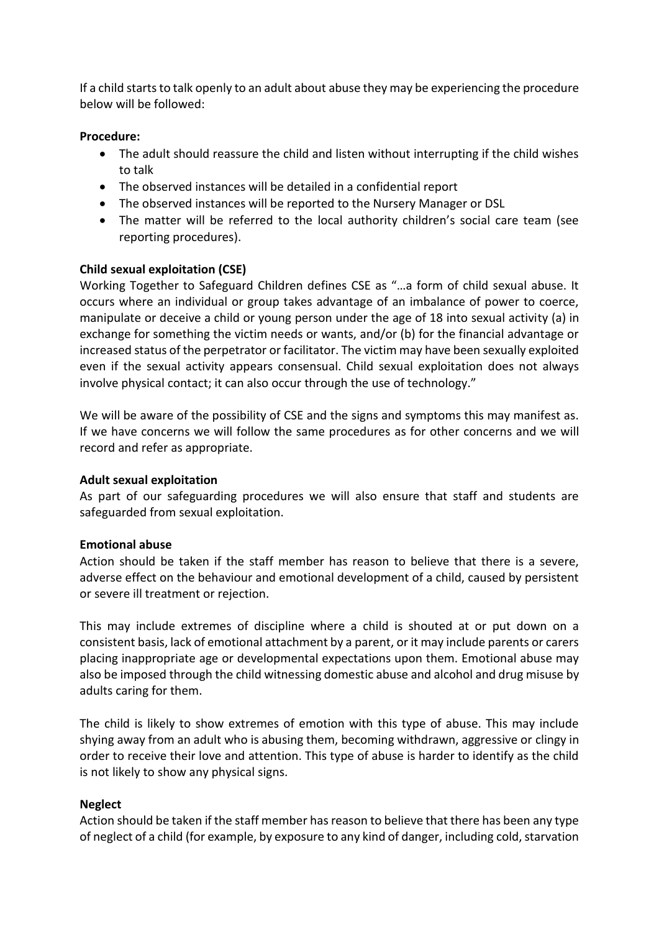If a child starts to talk openly to an adult about abuse they may be experiencing the procedure below will be followed:

#### **Procedure:**

- The adult should reassure the child and listen without interrupting if the child wishes to talk
- The observed instances will be detailed in a confidential report
- The observed instances will be reported to the Nursery Manager or DSL
- The matter will be referred to the local authority children's social care team (see reporting procedures).

#### **Child sexual exploitation (CSE)**

Working Together to Safeguard Children defines CSE as "…a form of child sexual abuse. It occurs where an individual or group takes advantage of an imbalance of power to coerce, manipulate or deceive a child or young person under the age of 18 into sexual activity (a) in exchange for something the victim needs or wants, and/or (b) for the financial advantage or increased status of the perpetrator or facilitator. The victim may have been sexually exploited even if the sexual activity appears consensual. Child sexual exploitation does not always involve physical contact; it can also occur through the use of technology."

We will be aware of the possibility of CSE and the signs and symptoms this may manifest as. If we have concerns we will follow the same procedures as for other concerns and we will record and refer as appropriate.

#### **Adult sexual exploitation**

As part of our safeguarding procedures we will also ensure that staff and students are safeguarded from sexual exploitation.

#### **Emotional abuse**

Action should be taken if the staff member has reason to believe that there is a severe, adverse effect on the behaviour and emotional development of a child, caused by persistent or severe ill treatment or rejection.

This may include extremes of discipline where a child is shouted at or put down on a consistent basis, lack of emotional attachment by a parent, or it may include parents or carers placing inappropriate age or developmental expectations upon them. Emotional abuse may also be imposed through the child witnessing domestic abuse and alcohol and drug misuse by adults caring for them.

The child is likely to show extremes of emotion with this type of abuse. This may include shying away from an adult who is abusing them, becoming withdrawn, aggressive or clingy in order to receive their love and attention. This type of abuse is harder to identify as the child is not likely to show any physical signs.

#### **Neglect**

Action should be taken if the staff member has reason to believe that there has been any type of neglect of a child (for example, by exposure to any kind of danger, including cold, starvation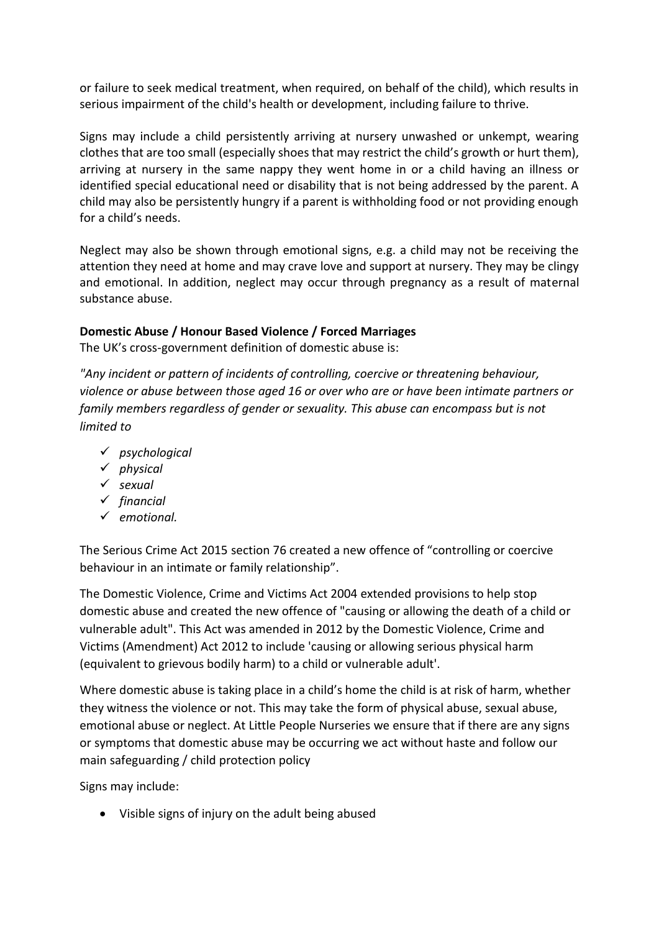or failure to seek medical treatment, when required, on behalf of the child), which results in serious impairment of the child's health or development, including failure to thrive.

Signs may include a child persistently arriving at nursery unwashed or unkempt, wearing clothes that are too small (especially shoes that may restrict the child's growth or hurt them), arriving at nursery in the same nappy they went home in or a child having an illness or identified special educational need or disability that is not being addressed by the parent. A child may also be persistently hungry if a parent is withholding food or not providing enough for a child's needs.

Neglect may also be shown through emotional signs, e.g. a child may not be receiving the attention they need at home and may crave love and support at nursery. They may be clingy and emotional. In addition, neglect may occur through pregnancy as a result of maternal substance abuse.

## **Domestic Abuse / Honour Based Violence / Forced Marriages**

The UK's cross-government definition of domestic abuse is:

*"Any incident or pattern of incidents of controlling, coercive or threatening behaviour, violence or abuse between those aged 16 or over who are or have been intimate partners or family members regardless of gender or sexuality. This abuse can encompass but is not limited to*

- ✓ *psychological*
- ✓ *physical*
- ✓ *sexual*
- ✓ *financial*
- ✓ *emotional.*

The Serious Crime Act 2015 section 76 created a new offence of "controlling or coercive behaviour in an intimate or family relationship".

The Domestic Violence, Crime and Victims Act 2004 extended provisions to help stop domestic abuse and created the new offence of "causing or allowing the death of a child or vulnerable adult". This Act was amended in 2012 by the Domestic Violence, Crime and Victims (Amendment) Act 2012 to include 'causing or allowing serious physical harm (equivalent to grievous bodily harm) to a child or vulnerable adult'.

Where domestic abuse is taking place in a child's home the child is at risk of harm, whether they witness the violence or not. This may take the form of physical abuse, sexual abuse, emotional abuse or neglect. At Little People Nurseries we ensure that if there are any signs or symptoms that domestic abuse may be occurring we act without haste and follow our main safeguarding / child protection policy

Signs may include:

• Visible signs of injury on the adult being abused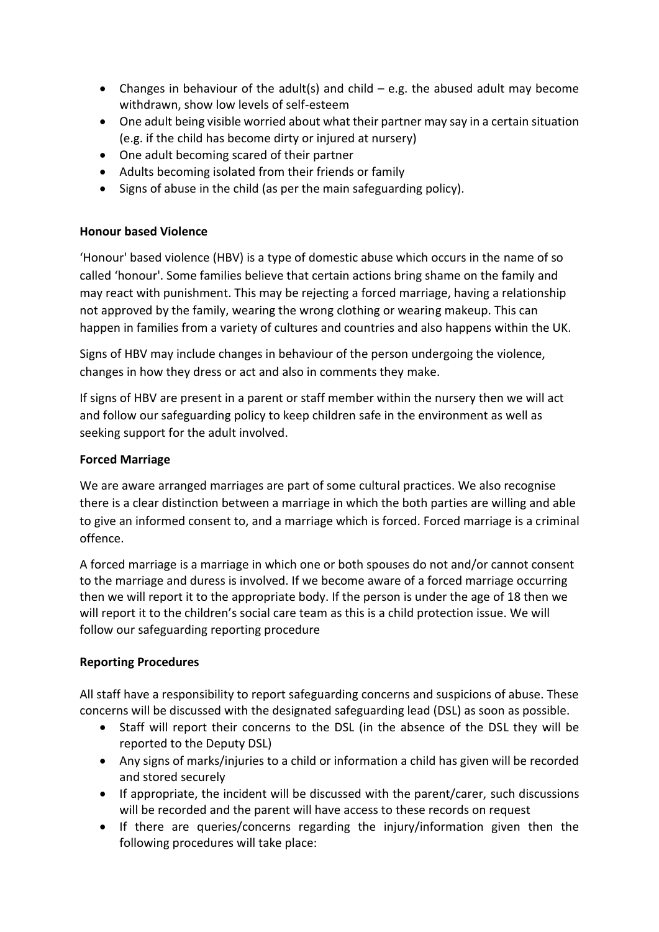- Changes in behaviour of the adult(s) and child  $-$  e.g. the abused adult may become withdrawn, show low levels of self-esteem
- One adult being visible worried about what their partner may say in a certain situation (e.g. if the child has become dirty or injured at nursery)
- One adult becoming scared of their partner
- Adults becoming isolated from their friends or family
- Signs of abuse in the child (as per the main safeguarding policy).

## **Honour based Violence**

'Honour' based violence (HBV) is a type of domestic abuse which occurs in the name of so called 'honour'. Some families believe that certain actions bring shame on the family and may react with punishment. This may be rejecting a forced marriage, having a relationship not approved by the family, wearing the wrong clothing or wearing makeup. This can happen in families from a variety of cultures and countries and also happens within the UK.

Signs of HBV may include changes in behaviour of the person undergoing the violence, changes in how they dress or act and also in comments they make.

If signs of HBV are present in a parent or staff member within the nursery then we will act and follow our safeguarding policy to keep children safe in the environment as well as seeking support for the adult involved.

## **Forced Marriage**

We are aware arranged marriages are part of some cultural practices. We also recognise there is a clear distinction between a marriage in which the both parties are willing and able to give an informed consent to, and a marriage which is forced. Forced marriage is a criminal offence.

A forced marriage is a marriage in which one or both spouses do not and/or cannot consent to the marriage and duress is involved. If we become aware of a forced marriage occurring then we will report it to the appropriate body. If the person is under the age of 18 then we will report it to the children's social care team as this is a child protection issue. We will follow our safeguarding reporting procedure

## **Reporting Procedures**

All staff have a responsibility to report safeguarding concerns and suspicions of abuse. These concerns will be discussed with the designated safeguarding lead (DSL) as soon as possible.

- Staff will report their concerns to the DSL (in the absence of the DSL they will be reported to the Deputy DSL)
- Any signs of marks/injuries to a child or information a child has given will be recorded and stored securely
- If appropriate, the incident will be discussed with the parent/carer, such discussions will be recorded and the parent will have access to these records on request
- If there are queries/concerns regarding the injury/information given then the following procedures will take place: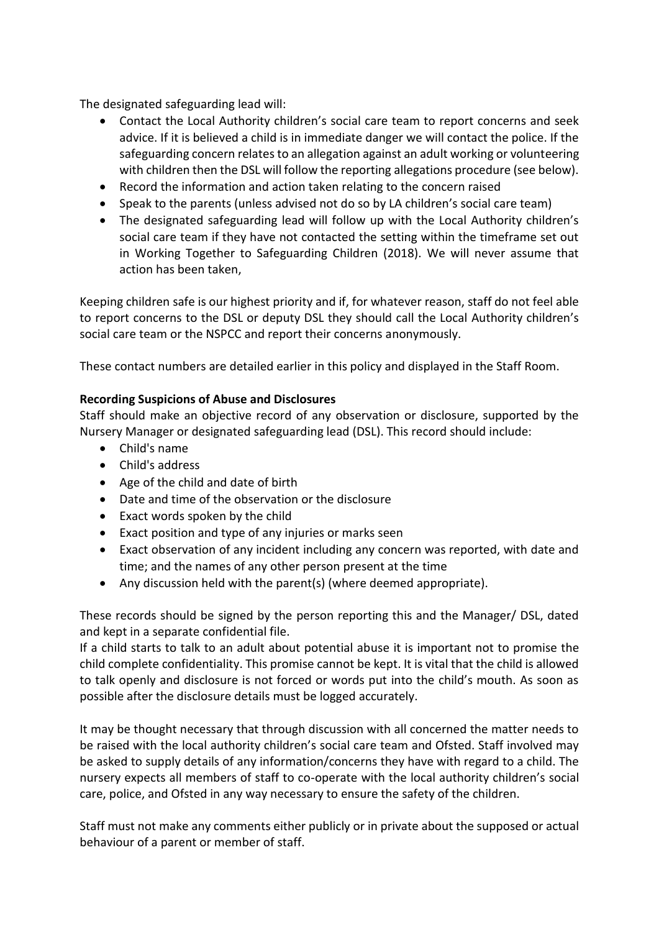The designated safeguarding lead will:

- Contact the Local Authority children's social care team to report concerns and seek advice. If it is believed a child is in immediate danger we will contact the police. If the safeguarding concern relates to an allegation against an adult working or volunteering with children then the DSL will follow the reporting allegations procedure (see below).
- Record the information and action taken relating to the concern raised
- Speak to the parents (unless advised not do so by LA children's social care team)
- The designated safeguarding lead will follow up with the Local Authority children's social care team if they have not contacted the setting within the timeframe set out in Working Together to Safeguarding Children (2018). We will never assume that action has been taken,

Keeping children safe is our highest priority and if, for whatever reason, staff do not feel able to report concerns to the DSL or deputy DSL they should call the Local Authority children's social care team or the NSPCC and report their concerns anonymously.

These contact numbers are detailed earlier in this policy and displayed in the Staff Room.

## **Recording Suspicions of Abuse and Disclosures**

Staff should make an objective record of any observation or disclosure, supported by the Nursery Manager or designated safeguarding lead (DSL). This record should include:

- Child's name
- Child's address
- Age of the child and date of birth
- Date and time of the observation or the disclosure
- Exact words spoken by the child
- Exact position and type of any injuries or marks seen
- Exact observation of any incident including any concern was reported, with date and time; and the names of any other person present at the time
- Any discussion held with the parent(s) (where deemed appropriate).

These records should be signed by the person reporting this and the Manager/ DSL, dated and kept in a separate confidential file.

If a child starts to talk to an adult about potential abuse it is important not to promise the child complete confidentiality. This promise cannot be kept. It is vital that the child is allowed to talk openly and disclosure is not forced or words put into the child's mouth. As soon as possible after the disclosure details must be logged accurately.

It may be thought necessary that through discussion with all concerned the matter needs to be raised with the local authority children's social care team and Ofsted. Staff involved may be asked to supply details of any information/concerns they have with regard to a child. The nursery expects all members of staff to co-operate with the local authority children's social care, police, and Ofsted in any way necessary to ensure the safety of the children.

Staff must not make any comments either publicly or in private about the supposed or actual behaviour of a parent or member of staff.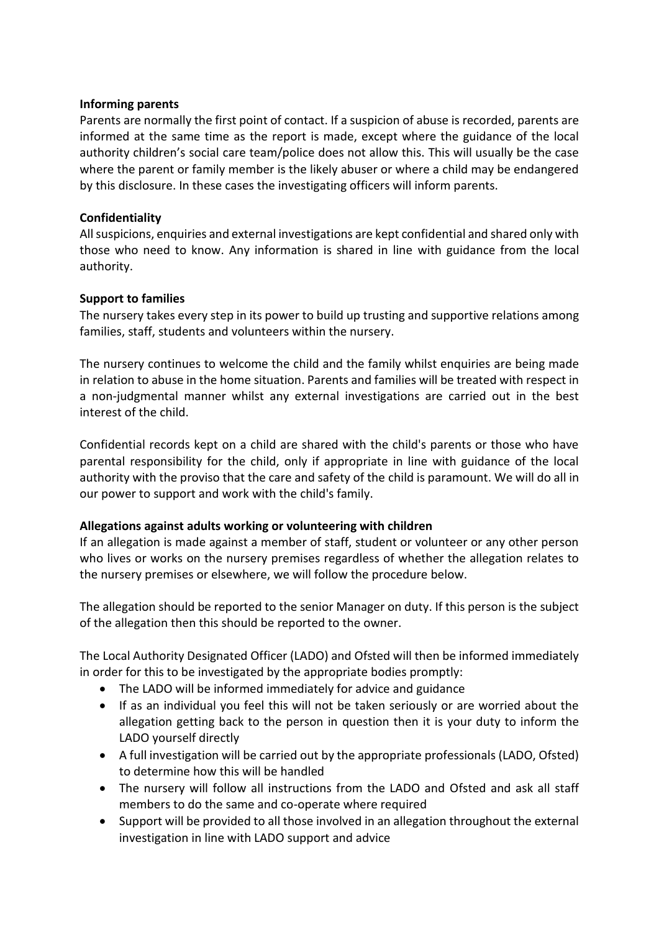#### **Informing parents**

Parents are normally the first point of contact. If a suspicion of abuse is recorded, parents are informed at the same time as the report is made, except where the guidance of the local authority children's social care team/police does not allow this. This will usually be the case where the parent or family member is the likely abuser or where a child may be endangered by this disclosure. In these cases the investigating officers will inform parents.

#### **Confidentiality**

All suspicions, enquiries and external investigations are kept confidential and shared only with those who need to know. Any information is shared in line with guidance from the local authority.

## **Support to families**

The nursery takes every step in its power to build up trusting and supportive relations among families, staff, students and volunteers within the nursery.

The nursery continues to welcome the child and the family whilst enquiries are being made in relation to abuse in the home situation. Parents and families will be treated with respect in a non-judgmental manner whilst any external investigations are carried out in the best interest of the child.

Confidential records kept on a child are shared with the child's parents or those who have parental responsibility for the child, only if appropriate in line with guidance of the local authority with the proviso that the care and safety of the child is paramount. We will do all in our power to support and work with the child's family.

## **Allegations against adults working or volunteering with children**

If an allegation is made against a member of staff, student or volunteer or any other person who lives or works on the nursery premises regardless of whether the allegation relates to the nursery premises or elsewhere, we will follow the procedure below.

The allegation should be reported to the senior Manager on duty. If this person is the subject of the allegation then this should be reported to the owner.

The Local Authority Designated Officer (LADO) and Ofsted will then be informed immediately in order for this to be investigated by the appropriate bodies promptly:

- The LADO will be informed immediately for advice and guidance
- If as an individual you feel this will not be taken seriously or are worried about the allegation getting back to the person in question then it is your duty to inform the LADO yourself directly
- A full investigation will be carried out by the appropriate professionals (LADO, Ofsted) to determine how this will be handled
- The nursery will follow all instructions from the LADO and Ofsted and ask all staff members to do the same and co-operate where required
- Support will be provided to all those involved in an allegation throughout the external investigation in line with LADO support and advice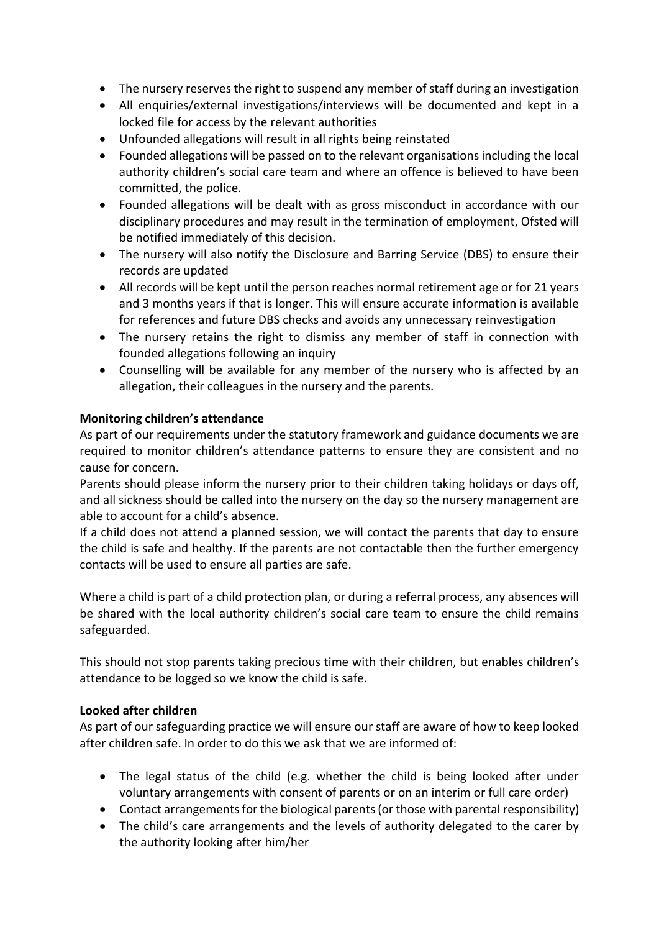- The nursery reserves the right to suspend any member of staff during an investigation
- All enquiries/external investigations/interviews will be documented and kept in a locked file for access by the relevant authorities
- Unfounded allegations will result in all rights being reinstated
- Founded allegations will be passed on to the relevant organisations including the local authority children's social care team and where an offence is believed to have been committed, the police.
- Founded allegations will be dealt with as gross misconduct in accordance with our disciplinary procedures and may result in the termination of employment, Ofsted will be notified immediately of this decision.
- The nursery will also notify the Disclosure and Barring Service (DBS) to ensure their records are updated
- All records will be kept until the person reaches normal retirement age or for 21 years and 3 months years if that is longer. This will ensure accurate information is available for references and future DBS checks and avoids any unnecessary reinvestigation
- The nursery retains the right to dismiss any member of staff in connection with founded allegations following an inquiry
- Counselling will be available for any member of the nursery who is affected by an allegation, their colleagues in the nursery and the parents.

## **Monitoring children's attendance**

As part of our requirements under the statutory framework and guidance documents we are required to monitor children's attendance patterns to ensure they are consistent and no cause for concern.

Parents should please inform the nursery prior to their children taking holidays or days off, and all sickness should be called into the nursery on the day so the nursery management are able to account for a child's absence.

If a child does not attend a planned session, we will contact the parents that day to ensure the child is safe and healthy. If the parents are not contactable then the further emergency contacts will be used to ensure all parties are safe.

Where a child is part of a child protection plan, or during a referral process, any absences will be shared with the local authority children's social care team to ensure the child remains safeguarded.

This should not stop parents taking precious time with their children, but enables children's attendance to be logged so we know the child is safe.

## **Looked after children**

As part of our safeguarding practice we will ensure our staff are aware of how to keep looked after children safe. In order to do this we ask that we are informed of:

- The legal status of the child (e.g. whether the child is being looked after under voluntary arrangements with consent of parents or on an interim or full care order)
- Contact arrangements for the biological parents (or those with parental responsibility)
- The child's care arrangements and the levels of authority delegated to the carer by the authority looking after him/her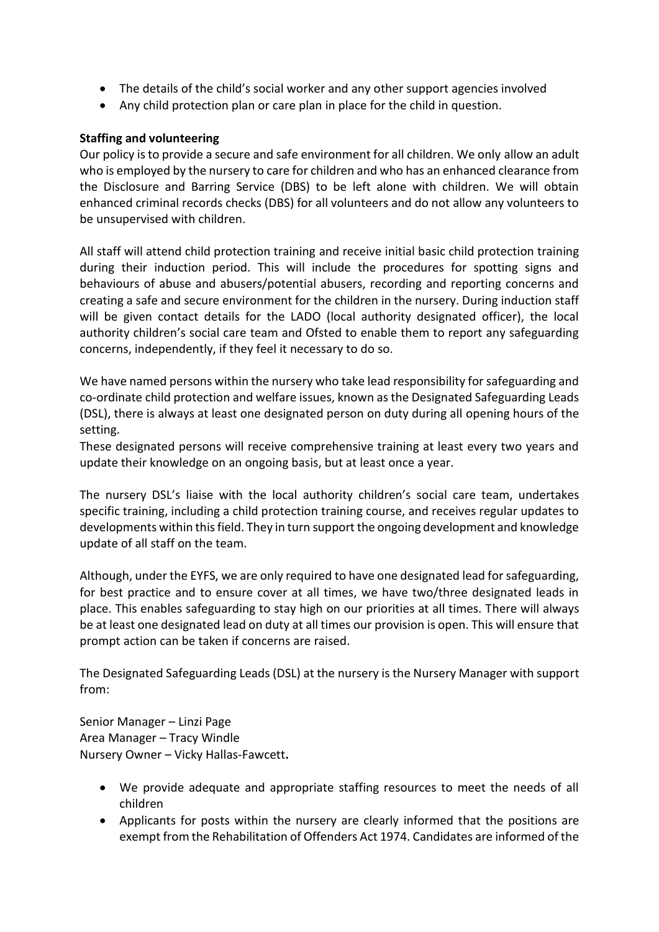- The details of the child's social worker and any other support agencies involved
- Any child protection plan or care plan in place for the child in question.

#### **Staffing and volunteering**

Our policy is to provide a secure and safe environment for all children. We only allow an adult who is employed by the nursery to care for children and who has an enhanced clearance from the Disclosure and Barring Service (DBS) to be left alone with children. We will obtain enhanced criminal records checks (DBS) for all volunteers and do not allow any volunteers to be unsupervised with children.

All staff will attend child protection training and receive initial basic child protection training during their induction period. This will include the procedures for spotting signs and behaviours of abuse and abusers/potential abusers, recording and reporting concerns and creating a safe and secure environment for the children in the nursery. During induction staff will be given contact details for the LADO (local authority designated officer), the local authority children's social care team and Ofsted to enable them to report any safeguarding concerns, independently, if they feel it necessary to do so.

We have named persons within the nursery who take lead responsibility for safeguarding and co-ordinate child protection and welfare issues, known as the Designated Safeguarding Leads (DSL), there is always at least one designated person on duty during all opening hours of the setting.

These designated persons will receive comprehensive training at least every two years and update their knowledge on an ongoing basis, but at least once a year.

The nursery DSL's liaise with the local authority children's social care team, undertakes specific training, including a child protection training course, and receives regular updates to developments within this field. They in turn support the ongoing development and knowledge update of all staff on the team.

Although, under the EYFS, we are only required to have one designated lead for safeguarding, for best practice and to ensure cover at all times, we have two/three designated leads in place. This enables safeguarding to stay high on our priorities at all times. There will always be at least one designated lead on duty at all times our provision is open. This will ensure that prompt action can be taken if concerns are raised.

The Designated Safeguarding Leads (DSL) at the nursery is the Nursery Manager with support from:

Senior Manager – Linzi Page Area Manager – Tracy Windle Nursery Owner – Vicky Hallas-Fawcett**.** 

- We provide adequate and appropriate staffing resources to meet the needs of all children
- Applicants for posts within the nursery are clearly informed that the positions are exempt from the Rehabilitation of Offenders Act 1974. Candidates are informed of the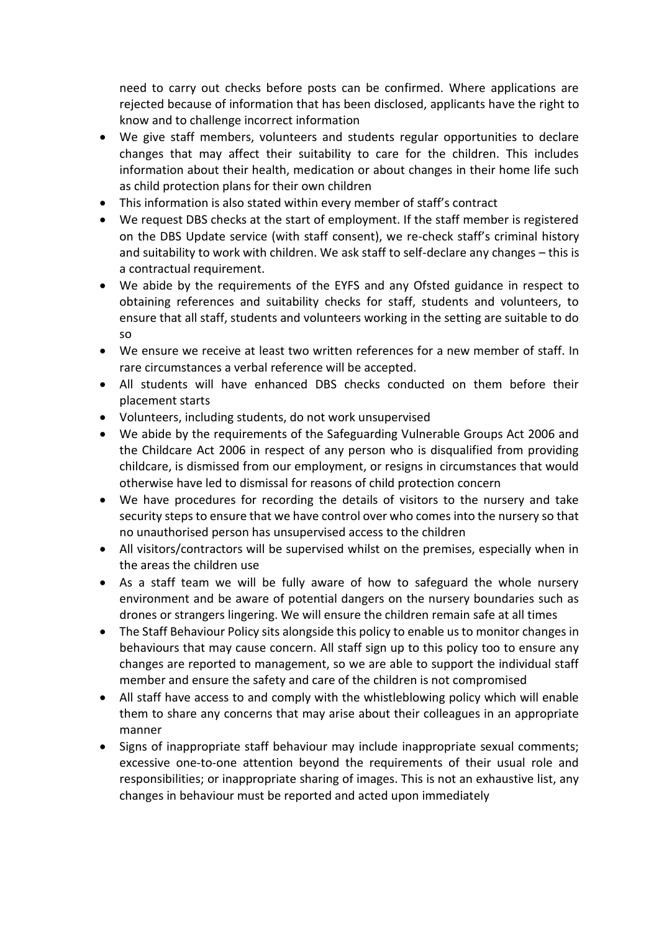need to carry out checks before posts can be confirmed. Where applications are rejected because of information that has been disclosed, applicants have the right to know and to challenge incorrect information

- We give staff members, volunteers and students regular opportunities to declare changes that may affect their suitability to care for the children. This includes information about their health, medication or about changes in their home life such as child protection plans for their own children
- This information is also stated within every member of staff's contract
- We request DBS checks at the start of employment. If the staff member is registered on the DBS Update service (with staff consent), we re-check staff's criminal history and suitability to work with children. We ask staff to self-declare any changes – this is a contractual requirement.
- We abide by the requirements of the EYFS and any Ofsted guidance in respect to obtaining references and suitability checks for staff, students and volunteers, to ensure that all staff, students and volunteers working in the setting are suitable to do so
- We ensure we receive at least two written references for a new member of staff. In rare circumstances a verbal reference will be accepted.
- All students will have enhanced DBS checks conducted on them before their placement starts
- Volunteers, including students, do not work unsupervised
- We abide by the requirements of the Safeguarding Vulnerable Groups Act 2006 and the Childcare Act 2006 in respect of any person who is disqualified from providing childcare, is dismissed from our employment, or resigns in circumstances that would otherwise have led to dismissal for reasons of child protection concern
- We have procedures for recording the details of visitors to the nursery and take security steps to ensure that we have control over who comes into the nursery so that no unauthorised person has unsupervised access to the children
- All visitors/contractors will be supervised whilst on the premises, especially when in the areas the children use
- As a staff team we will be fully aware of how to safeguard the whole nursery environment and be aware of potential dangers on the nursery boundaries such as drones or strangers lingering. We will ensure the children remain safe at all times
- The Staff Behaviour Policy sits alongside this policy to enable us to monitor changes in behaviours that may cause concern. All staff sign up to this policy too to ensure any changes are reported to management, so we are able to support the individual staff member and ensure the safety and care of the children is not compromised
- All staff have access to and comply with the whistleblowing policy which will enable them to share any concerns that may arise about their colleagues in an appropriate manner
- Signs of inappropriate staff behaviour may include inappropriate sexual comments; excessive one-to-one attention beyond the requirements of their usual role and responsibilities; or inappropriate sharing of images. This is not an exhaustive list, any changes in behaviour must be reported and acted upon immediately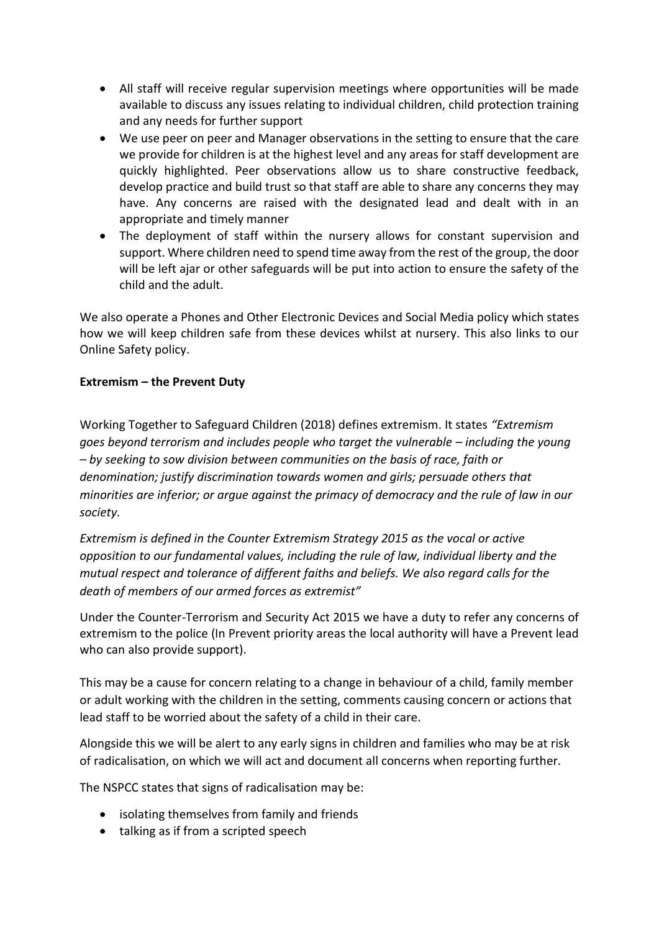- All staff will receive regular supervision meetings where opportunities will be made available to discuss any issues relating to individual children, child protection training and any needs for further support
- We use peer on peer and Manager observations in the setting to ensure that the care we provide for children is at the highest level and any areas for staff development are quickly highlighted. Peer observations allow us to share constructive feedback, develop practice and build trust so that staff are able to share any concerns they may have. Any concerns are raised with the designated lead and dealt with in an appropriate and timely manner
- The deployment of staff within the nursery allows for constant supervision and support. Where children need to spend time away from the rest of the group, the door will be left ajar or other safeguards will be put into action to ensure the safety of the child and the adult.

We also operate a Phones and Other Electronic Devices and Social Media policy which states how we will keep children safe from these devices whilst at nursery. This also links to our Online Safety policy.

## **Extremism – the Prevent Duty**

Working Together to Safeguard Children (2018) defines extremism. It states *"Extremism goes beyond terrorism and includes people who target the vulnerable – including the young – by seeking to sow division between communities on the basis of race, faith or denomination; justify discrimination towards women and girls; persuade others that minorities are inferior; or argue against the primacy of democracy and the rule of law in our society.*

*Extremism is defined in the Counter Extremism Strategy 2015 as the vocal or active opposition to our fundamental values, including the rule of law, individual liberty and the mutual respect and tolerance of different faiths and beliefs. We also regard calls for the death of members of our armed forces as extremist"*

Under the Counter-Terrorism and Security Act 2015 we have a duty to refer any concerns of extremism to the police (In Prevent priority areas the local authority will have a Prevent lead who can also provide support).

This may be a cause for concern relating to a change in behaviour of a child, family member or adult working with the children in the setting, comments causing concern or actions that lead staff to be worried about the safety of a child in their care.

Alongside this we will be alert to any early signs in children and families who may be at risk of radicalisation, on which we will act and document all concerns when reporting further.

The NSPCC states that signs of radicalisation may be:

- isolating themselves from family and friends
- talking as if from a scripted speech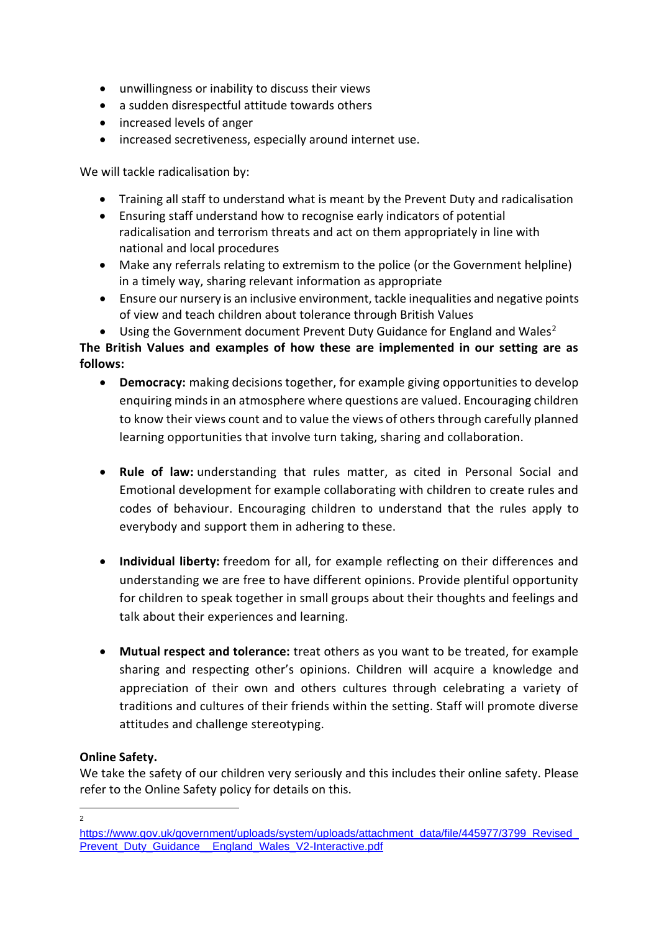- unwillingness or inability to discuss their views
- a sudden disrespectful attitude towards others
- increased levels of anger
- increased secretiveness, especially around internet use.

We will tackle radicalisation by:

- Training all staff to understand what is meant by the Prevent Duty and radicalisation
- Ensuring staff understand how to recognise early indicators of potential radicalisation and terrorism threats and act on them appropriately in line with national and local procedures
- Make any referrals relating to extremism to the police (or the Government helpline) in a timely way, sharing relevant information as appropriate
- Ensure our nursery is an inclusive environment, tackle inequalities and negative points of view and teach children about tolerance through British Values
- Using the Government document Prevent Duty Guidance for England and Wales<sup>2</sup>

**The British Values and examples of how these are implemented in our setting are as follows:**

- **Democracy:** making decisions together, for example giving opportunities to develop enquiring minds in an atmosphere where questions are valued. Encouraging children to know their views count and to value the views of others through carefully planned learning opportunities that involve turn taking, sharing and collaboration.
- **Rule of law:** understanding that rules matter, as cited in Personal Social and Emotional development for example collaborating with children to create rules and codes of behaviour. Encouraging children to understand that the rules apply to everybody and support them in adhering to these.
- **Individual liberty:** freedom for all, for example reflecting on their differences and understanding we are free to have different opinions. Provide plentiful opportunity for children to speak together in small groups about their thoughts and feelings and talk about their experiences and learning.
- **Mutual respect and tolerance:** treat others as you want to be treated, for example sharing and respecting other's opinions. Children will acquire a knowledge and appreciation of their own and others cultures through celebrating a variety of traditions and cultures of their friends within the setting. Staff will promote diverse attitudes and challenge stereotyping.

## **Online Safety.**

We take the safety of our children very seriously and this includes their online safety. Please refer to the Online Safety policy for details on this.

 $\overline{2}$ 

[https://www.gov.uk/government/uploads/system/uploads/attachment\\_data/file/445977/3799\\_Revised\\_](https://www.gov.uk/government/uploads/system/uploads/attachment_data/file/445977/3799_Revised_Prevent_Duty_Guidance__England_Wales_V2-Interactive.pdf) [Prevent\\_Duty\\_Guidance\\_\\_England\\_Wales\\_V2-Interactive.pdf](https://www.gov.uk/government/uploads/system/uploads/attachment_data/file/445977/3799_Revised_Prevent_Duty_Guidance__England_Wales_V2-Interactive.pdf)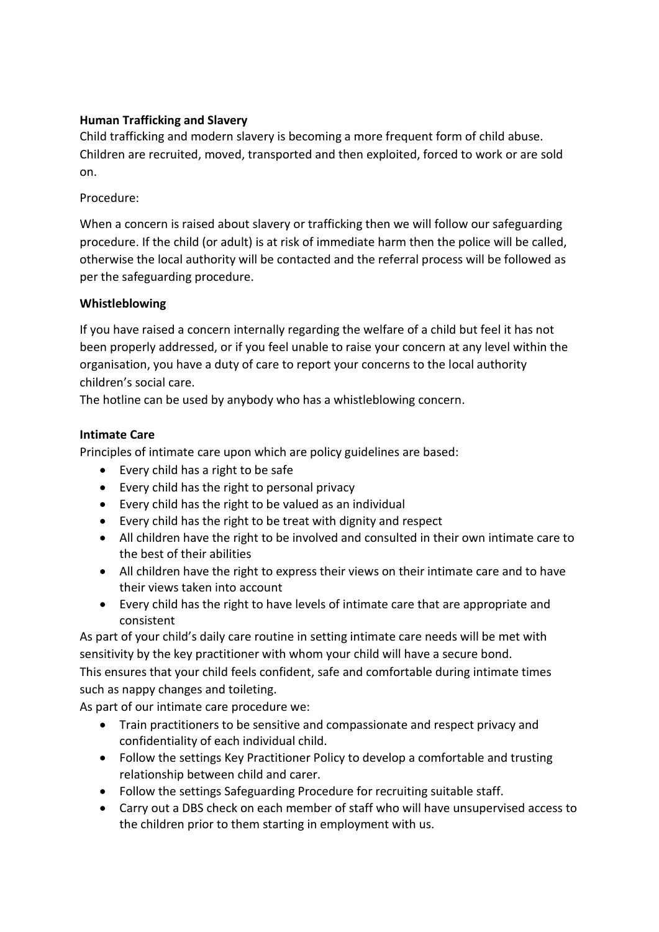## **Human Trafficking and Slavery**

Child trafficking and modern slavery is becoming a more frequent form of child abuse. Children are recruited, moved, transported and then exploited, forced to work or are sold on.

## Procedure:

When a concern is raised about slavery or trafficking then we will follow our safeguarding procedure. If the child (or adult) is at risk of immediate harm then the police will be called, otherwise the local authority will be contacted and the referral process will be followed as per the safeguarding procedure.

## **Whistleblowing**

If you have raised a concern internally regarding the welfare of a child but feel it has not been properly addressed, or if you feel unable to raise your concern at any level within the organisation, you have a duty of care to report your concerns to the local authority children's social care.

The hotline can be used by anybody who has a whistleblowing concern.

## **Intimate Care**

Principles of intimate care upon which are policy guidelines are based:

- Every child has a right to be safe
- Every child has the right to personal privacy
- Every child has the right to be valued as an individual
- Every child has the right to be treat with dignity and respect
- All children have the right to be involved and consulted in their own intimate care to the best of their abilities
- All children have the right to express their views on their intimate care and to have their views taken into account
- Every child has the right to have levels of intimate care that are appropriate and consistent

As part of your child's daily care routine in setting intimate care needs will be met with sensitivity by the key practitioner with whom your child will have a secure bond. This ensures that your child feels confident, safe and comfortable during intimate times such as nappy changes and toileting.

As part of our intimate care procedure we:

- Train practitioners to be sensitive and compassionate and respect privacy and confidentiality of each individual child.
- Follow the settings Key Practitioner Policy to develop a comfortable and trusting relationship between child and carer.
- Follow the settings Safeguarding Procedure for recruiting suitable staff.
- Carry out a DBS check on each member of staff who will have unsupervised access to the children prior to them starting in employment with us.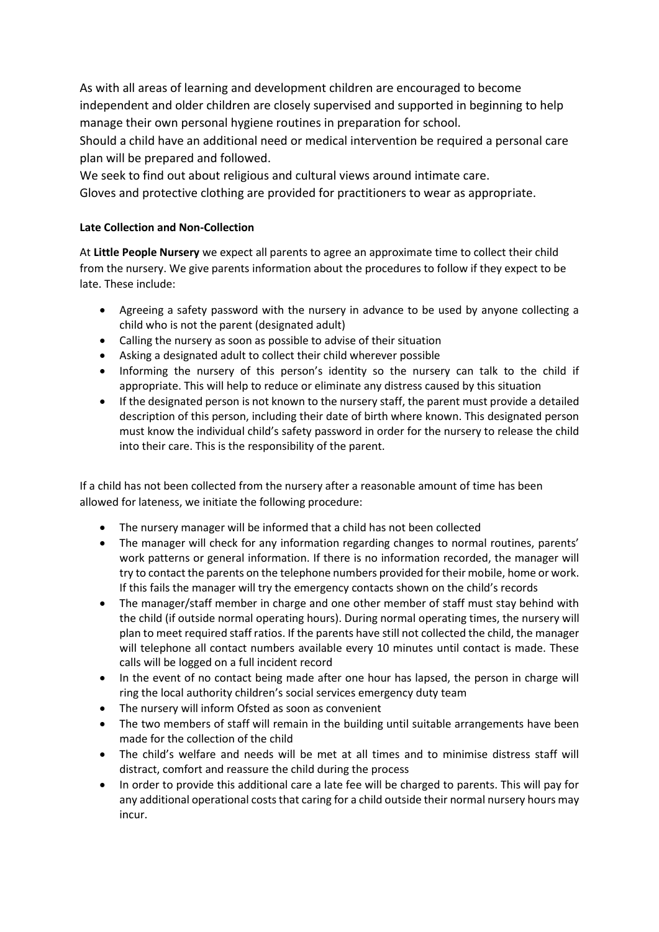As with all areas of learning and development children are encouraged to become independent and older children are closely supervised and supported in beginning to help manage their own personal hygiene routines in preparation for school.

Should a child have an additional need or medical intervention be required a personal care plan will be prepared and followed.

We seek to find out about religious and cultural views around intimate care. Gloves and protective clothing are provided for practitioners to wear as appropriate.

#### **Late Collection and Non-Collection**

At **Little People Nursery** we expect all parents to agree an approximate time to collect their child from the nursery. We give parents information about the procedures to follow if they expect to be late. These include:

- Agreeing a safety password with the nursery in advance to be used by anyone collecting a child who is not the parent (designated adult)
- Calling the nursery as soon as possible to advise of their situation
- Asking a designated adult to collect their child wherever possible
- Informing the nursery of this person's identity so the nursery can talk to the child if appropriate. This will help to reduce or eliminate any distress caused by this situation
- If the designated person is not known to the nursery staff, the parent must provide a detailed description of this person, including their date of birth where known. This designated person must know the individual child's safety password in order for the nursery to release the child into their care. This is the responsibility of the parent.

If a child has not been collected from the nursery after a reasonable amount of time has been allowed for lateness, we initiate the following procedure:

- The nursery manager will be informed that a child has not been collected
- The manager will check for any information regarding changes to normal routines, parents' work patterns or general information. If there is no information recorded, the manager will try to contact the parents on the telephone numbers provided for their mobile, home or work. If this fails the manager will try the emergency contacts shown on the child's records
- The manager/staff member in charge and one other member of staff must stay behind with the child (if outside normal operating hours). During normal operating times, the nursery will plan to meet required staff ratios. If the parents have still not collected the child, the manager will telephone all contact numbers available every 10 minutes until contact is made. These calls will be logged on a full incident record
- In the event of no contact being made after one hour has lapsed, the person in charge will ring the local authority children's social services emergency duty team
- The nursery will inform Ofsted as soon as convenient
- The two members of staff will remain in the building until suitable arrangements have been made for the collection of the child
- The child's welfare and needs will be met at all times and to minimise distress staff will distract, comfort and reassure the child during the process
- In order to provide this additional care a late fee will be charged to parents. This will pay for any additional operational costs that caring for a child outside their normal nursery hours may incur.